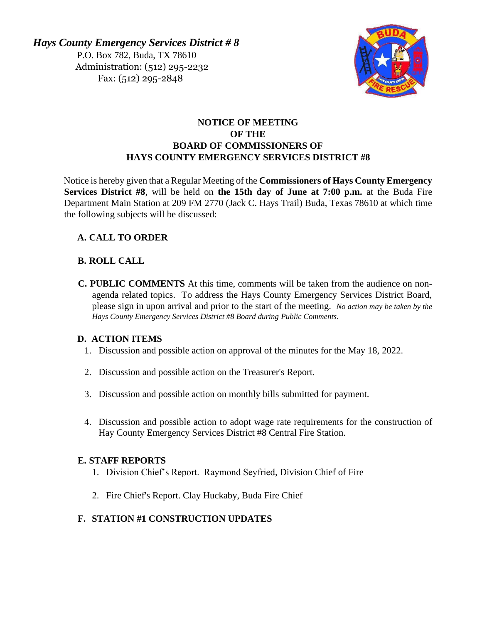*Hays County Emergency Services District # 8*  P.O. Box 782, Buda, TX 78610 Administration: (512) 295-2232 Fax: (512) 295-2848



## **NOTICE OF MEETING OF THE BOARD OF COMMISSIONERS OF HAYS COUNTY EMERGENCY SERVICES DISTRICT #8**

Notice is hereby given that a Regular Meeting of the **Commissioners of Hays County Emergency Services District #8**, will be held on **the 15th day of June at 7:00 p.m.** at the Buda Fire Department Main Station at 209 FM 2770 (Jack C. Hays Trail) Buda, Texas 78610 at which time the following subjects will be discussed:

# **A. CALL TO ORDER**

### **B. ROLL CALL**

**C. PUBLIC COMMENTS** At this time, comments will be taken from the audience on nonagenda related topics. To address the Hays County Emergency Services District Board, please sign in upon arrival and prior to the start of the meeting. *No action may be taken by the Hays County Emergency Services District #8 Board during Public Comments.*

### **D. ACTION ITEMS**

- 1. Discussion and possible action on approval of the minutes for the May 18, 2022.
- 2. Discussion and possible action on the Treasurer's Report.
- 3. Discussion and possible action on monthly bills submitted for payment.
- 4. Discussion and possible action to adopt wage rate requirements for the construction of Hay County Emergency Services District #8 Central Fire Station.

#### **E. STAFF REPORTS**

- 1. Division Chief's Report. Raymond Seyfried, Division Chief of Fire
- 2. Fire Chief's Report. Clay Huckaby, Buda Fire Chief

### **F. STATION #1 CONSTRUCTION UPDATES**